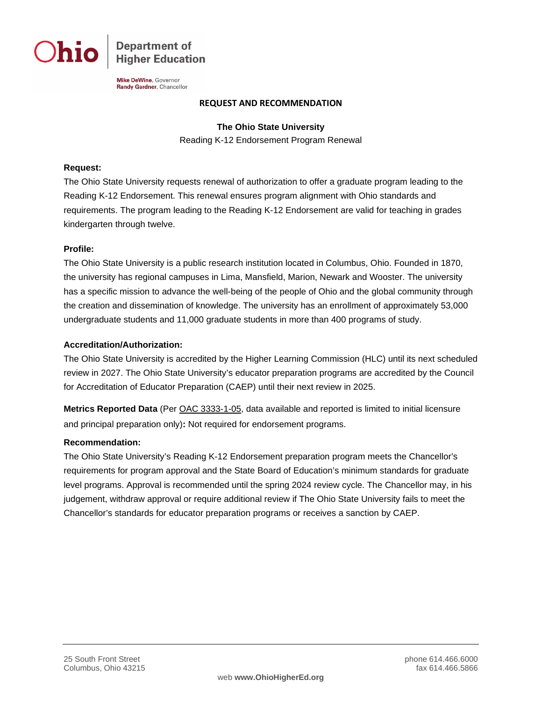**Department of Higher Education** 

Mike DeWine, Governor Randy Gardner, Chancellor

#### **REQUEST AND RECOMMENDATION**

**The Ohio State University**

Reading K-12 Endorsement Program Renewal

### **Request:**

The Ohio State University requests renewal of authorization to offer a graduate program leading to the Reading K-12 Endorsement. This renewal ensures program alignment with Ohio standards and requirements. The program leading to the Reading K-12 Endorsement are valid for teaching in grades kindergarten through twelve.

## **Profile:**

The Ohio State University is a public research institution located in Columbus, Ohio. Founded in 1870, the university has regional campuses in Lima, Mansfield, Marion, Newark and Wooster. The university has a specific mission to advance the well-being of the people of Ohio and the global community through the creation and dissemination of knowledge. The university has an enrollment of approximately 53,000 undergraduate students and 11,000 graduate students in more than 400 programs of study.

#### **Accreditation/Authorization:**

The Ohio State University is accredited by the Higher Learning Commission (HLC) until its next scheduled review in 2027. The Ohio State University's educator preparation programs are accredited by the Council for Accreditation of Educator Preparation (CAEP) until their next review in 2025.

**Metrics Reported Data** (Per [OAC 3333-1-05,](http://codes.ohio.gov/oac/3333-1-05) data available and reported is limited to initial licensure and principal preparation only)**:** Not required for endorsement programs.

#### **Recommendation:**

The Ohio State University's Reading K-12 Endorsement preparation program meets the Chancellor's requirements for program approval and the State Board of Education's minimum standards for graduate level programs. Approval is recommended until the spring 2024 review cycle. The Chancellor may, in his judgement, withdraw approval or require additional review if The Ohio State University fails to meet the Chancellor's standards for educator preparation programs or receives a sanction by CAEP.